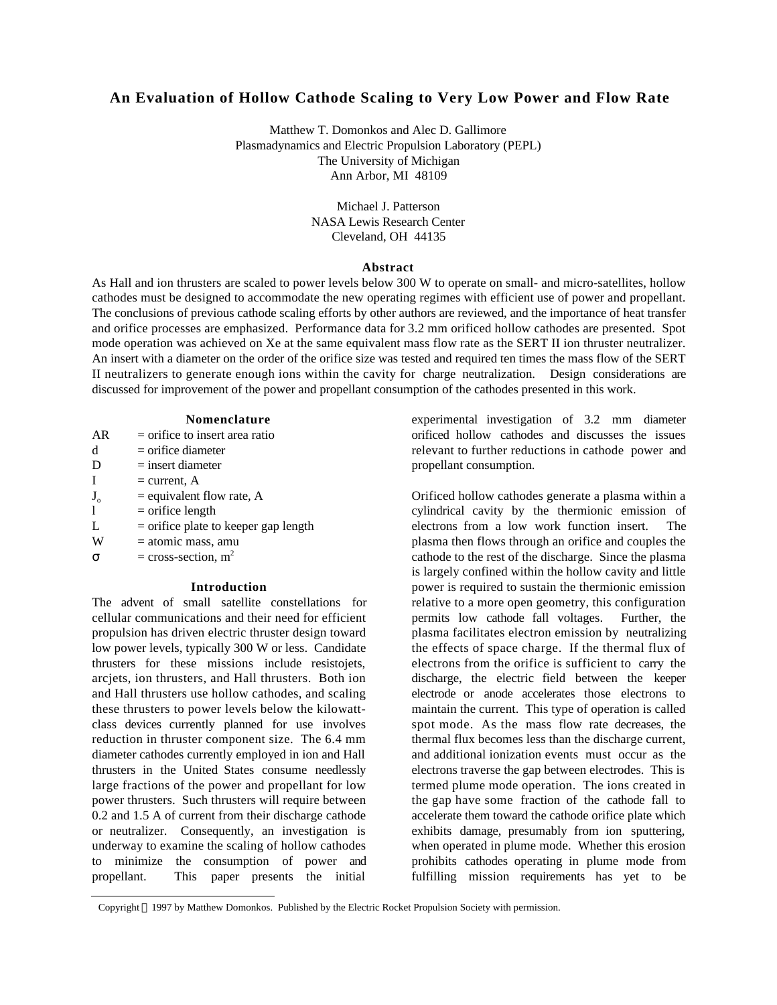# **An Evaluation of Hollow Cathode Scaling to Very Low Power and Flow Rate**

Matthew T. Domonkos and Alec D. Gallimore Plasmadynamics and Electric Propulsion Laboratory (PEPL) The University of Michigan Ann Arbor, MI 48109

> Michael I. Patterson NASA Lewis Research Center Cleveland, OH 44135

#### **Abstract**

As Hall and ion thrusters are scaled to power levels below 300 W to operate on small- and micro-satellites, hollow cathodes must be designed to accommodate the new operating regimes with efficient use of power and propellant. The conclusions of previous cathode scaling efforts by other authors are reviewed, and the importance of heat transfer and orifice processes are emphasized. Performance data for 3.2 mm orificed hollow cathodes are presented. Spot mode operation was achieved on Xe at the same equivalent mass flow rate as the SERT II ion thruster neutralizer. An insert with a diameter on the order of the orifice size was tested and required ten times the mass flow of the SERT II neutralizers to generate enough ions within the cavity for charge neutralization. Design considerations are discussed for improvement of the power and propellant consumption of the cathodes presented in this work.

### **Nomenclature**

| AR          | $=$ orifice to insert area ratio       |
|-------------|----------------------------------------|
| d           | $=$ orifice diameter                   |
| D           | $=$ insert diameter                    |
| I           | $=$ current, A                         |
| $J_{\rm o}$ | $=$ equivalent flow rate, A            |
| 1           | $=$ orifice length                     |
| L           | $=$ orifice plate to keeper gap length |
| W           | = atomic mass, amu                     |
|             |                                        |

 $=$  cross-section,  $m<sup>2</sup>$ 

## **Introduction**

The advent of small satellite constellations for cellular communications and their need for efficient propulsion has driven electric thruster design toward low power levels, typically 300 W or less. Candidate thrusters for these missions include resistojets, arcjets, ion thrusters, and Hall thrusters. Both ion and Hall thrusters use hollow cathodes, and scaling these thrusters to power levels below the kilowattclass devices currently planned for use involves reduction in thruster component size. The 6.4 mm diameter cathodes currently employed in ion and Hall thrusters in the United States consume needlessly large fractions of the power and propellant for low power thrusters. Such thrusters will require between 0.2 and 1.5 A of current from their discharge cathode or neutralizer. Consequently, an investigation is underway to examine the scaling of hollow cathodes to minimize the consumption of power and propellant. This paper presents the initial

experimental investigation of 3.2 mm diameter orificed hollow cathodes and discusses the issues relevant to further reductions in cathode power and propellant consumption.

Orificed hollow cathodes generate a plasma within a cylindrical cavity by the thermionic emission of electrons from a low work function insert. The plasma then flows through an orifice and couples the cathode to the rest of the discharge. Since the plasma is largely confined within the hollow cavity and little power is required to sustain the thermionic emission relative to a more open geometry, this configuration permits low cathode fall voltages. Further, the plasma facilitates electron emission by neutralizing the effects of space charge. If the thermal flux of electrons from the orifice is sufficient to carry the discharge, the electric field between the keeper electrode or anode accelerates those electrons to maintain the current. This type of operation is called spot mode. As the mass flow rate decreases, the thermal flux becomes less than the discharge current, and additional ionization events must occur as the electrons traverse the gap between electrodes. This is termed plume mode operation. The ions created in the gap have some fraction of the cathode fall to accelerate them toward the cathode orifice plate which exhibits damage, presumably from ion sputtering, when operated in plume mode. Whether this erosion prohibits cathodes operating in plume mode from fulfilling mission requirements has yet to be

 $\overline{a}$ Copyright 1997 by Matthew Domonkos. Published by the Electric Rocket Propulsion Society with permission.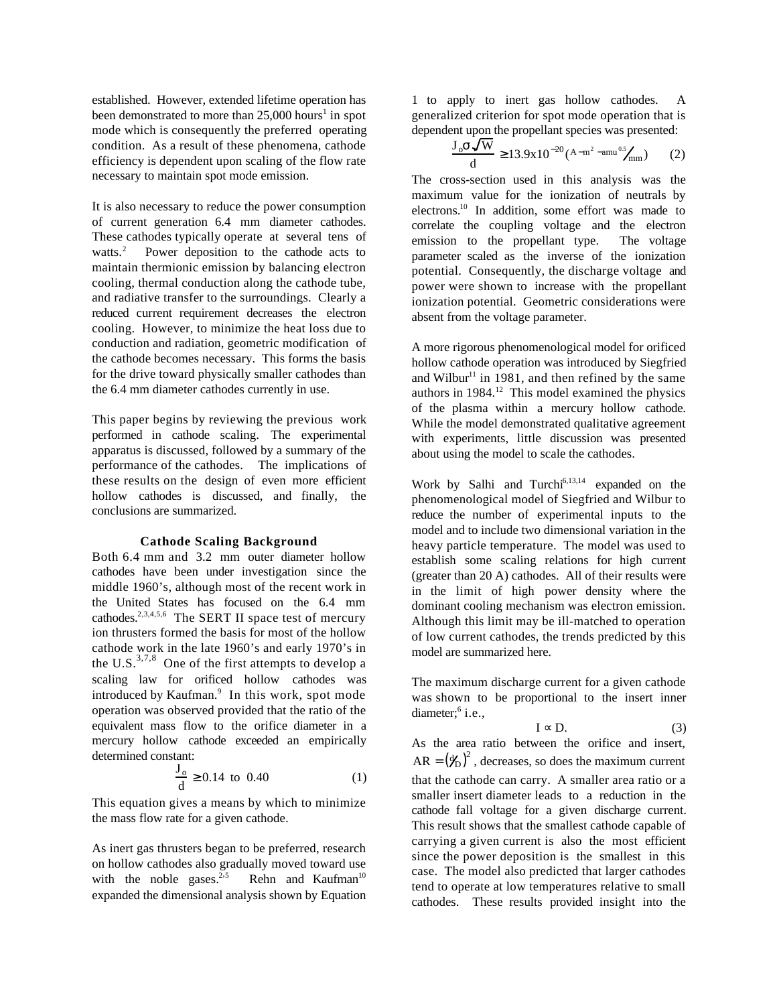established. However, extended lifetime operation has been demonstrated to more than  $25,000$  hours<sup>1</sup> in spot mode which is consequently the preferred operating condition. As a result of these phenomena, cathode efficiency is dependent upon scaling of the flow rate necessary to maintain spot mode emission.

It is also necessary to reduce the power consumption of current generation 6.4 mm diameter cathodes. These cathodes typically operate at several tens of watts.<sup>2</sup> Power deposition to the cathode acts to maintain thermionic emission by balancing electron cooling, thermal conduction along the cathode tube, and radiative transfer to the surroundings. Clearly a reduced current requirement decreases the electron cooling. However, to minimize the heat loss due to conduction and radiation, geometric modification of the cathode becomes necessary. This forms the basis for the drive toward physically smaller cathodes than the 6.4 mm diameter cathodes currently in use.

This paper begins by reviewing the previous work performed in cathode scaling. The experimental apparatus is discussed, followed by a summary of the performance of the cathodes. The implications of these results on the design of even more efficient hollow cathodes is discussed, and finally, the conclusions are summarized.

### **Cathode Scaling Background**

Both 6.4 mm and 3.2 mm outer diameter hollow cathodes have been under investigation since the middle 1960's, although most of the recent work in the United States has focused on the 6.4 mm cathodes.2,3,4,5,6 The SERT II space test of mercury ion thrusters formed the basis for most of the hollow cathode work in the late 1960's and early 1970's in the U.S. $^{3,7,8}$  One of the first attempts to develop a scaling law for orificed hollow cathodes was introduced by Kaufman.<sup>9</sup> In this work, spot mode operation was observed provided that the ratio of the equivalent mass flow to the orifice diameter in a mercury hollow cathode exceeded an empirically determined constant:

$$
\frac{J_o}{d} = 0.14 \text{ to } 0.40 \tag{1}
$$

This equation gives a means by which to minimize the mass flow rate for a given cathode.

As inert gas thrusters began to be preferred, research on hollow cathodes also gradually moved toward use with the noble gases.<sup>2,5</sup> Rehn and Kaufman<sup>10</sup> expanded the dimensional analysis shown by Equation 1 to apply to inert gas hollow cathodes. A generalized criterion for spot mode operation that is dependent upon the propellant species was presented:

$$
\frac{J_0}{d} \frac{\sqrt{W}}{13.9x10^{-20} (A-m^2 - amu^{0.5}/mm)} \tag{2}
$$

The cross-section used in this analysis was the maximum value for the ionization of neutrals by electrons.<sup>10</sup> In addition, some effort was made to correlate the coupling voltage and the electron emission to the propellant type. The voltage parameter scaled as the inverse of the ionization potential. Consequently, the discharge voltage and power were shown to increase with the propellant ionization potential. Geometric considerations were absent from the voltage parameter.

A more rigorous phenomenological model for orificed hollow cathode operation was introduced by Siegfried and Wilbur<sup>11</sup> in 1981, and then refined by the same authors in  $1984$ <sup>12</sup> This model examined the physics of the plasma within a mercury hollow cathode. While the model demonstrated qualitative agreement with experiments, little discussion was presented about using the model to scale the cathodes.

Work by Salhi and Turchi $6,13,14$  expanded on the phenomenological model of Siegfried and Wilbur to reduce the number of experimental inputs to the model and to include two dimensional variation in the heavy particle temperature. The model was used to establish some scaling relations for high current (greater than 20 A) cathodes. All of their results were in the limit of high power density where the dominant cooling mechanism was electron emission. Although this limit may be ill-matched to operation of low current cathodes, the trends predicted by this model are summarized here.

The maximum discharge current for a given cathode was shown to be proportional to the insert inner diameter;<sup>6</sup> i.e.,

$$
I \tD. \t(3)
$$

As the area ratio between the orifice and insert,  $AR = (\frac{y_D}{c})^2$ , decreases, so does the maximum current that the cathode can carry. A smaller area ratio or a smaller insert diameter leads to a reduction in the cathode fall voltage for a given discharge current. This result shows that the smallest cathode capable of carrying a given current is also the most efficient since the power deposition is the smallest in this case. The model also predicted that larger cathodes tend to operate at low temperatures relative to small cathodes. These results provided insight into the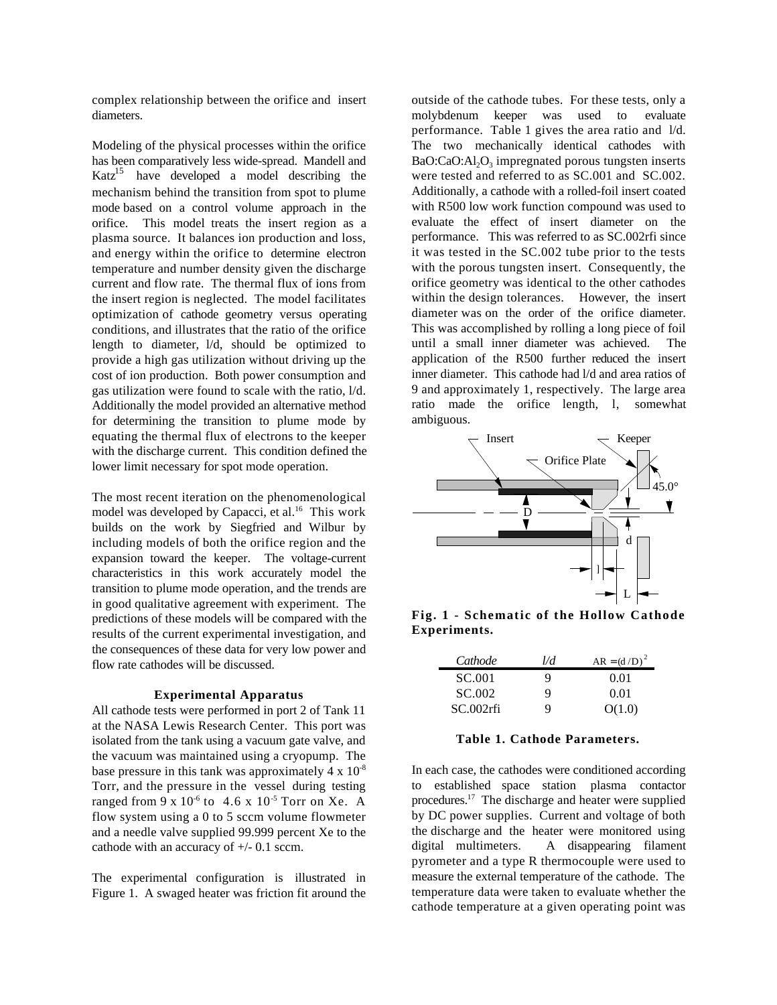complex relationship between the orifice and insert diameters.

Modeling of the physical processes within the orifice has been comparatively less wide-spread. Mandell and  $Katz<sup>15</sup>$  have developed a model describing the mechanism behind the transition from spot to plume mode based on a control volume approach in the orifice. This model treats the insert region as a plasma source. It balances ion production and loss, and energy within the orifice to determine electron temperature and number density given the discharge current and flow rate. The thermal flux of ions from the insert region is neglected. The model facilitates optimization of cathode geometry versus operating conditions, and illustrates that the ratio of the orifice length to diameter, l/d, should be optimized to provide a high gas utilization without driving up the cost of ion production. Both power consumption and gas utilization were found to scale with the ratio, l/d. Additionally the model provided an alternative method for determining the transition to plume mode by equating the thermal flux of electrons to the keeper with the discharge current. This condition defined the lower limit necessary for spot mode operation.

The most recent iteration on the phenomenological model was developed by Capacci, et al.<sup>16</sup> This work builds on the work by Siegfried and Wilbur by including models of both the orifice region and the expansion toward the keeper. The voltage-current characteristics in this work accurately model the transition to plume mode operation, and the trends are in good qualitative agreement with experiment. The predictions of these models will be compared with the results of the current experimental investigation, and the consequences of these data for very low power and flow rate cathodes will be discussed.

### **Experimental Apparatus**

All cathode tests were performed in port 2 of Tank 11 at the NASA Lewis Research Center. This port was isolated from the tank using a vacuum gate valve, and the vacuum was maintained using a cryopump. The base pressure in this tank was approximately  $4 \times 10^{-8}$ Torr, and the pressure in the vessel during testing ranged from 9 x  $10^{-6}$  to 4.6 x  $10^{-5}$  Torr on Xe. A flow system using a 0 to 5 sccm volume flowmeter and a needle valve supplied 99.999 percent Xe to the cathode with an accuracy of +/- 0.1 sccm.

The experimental configuration is illustrated in Figure 1. A swaged heater was friction fit around the outside of the cathode tubes. For these tests, only a molybdenum keeper was used to evaluate performance. Table 1 gives the area ratio and l/d. The two mechanically identical cathodes with BaO:CaO:Al2O3 impregnated porous tungsten inserts were tested and referred to as SC.001 and SC.002. Additionally, a cathode with a rolled-foil insert coated with R500 low work function compound was used to evaluate the effect of insert diameter on the performance. This was referred to as SC.002rfi since it was tested in the SC.002 tube prior to the tests with the porous tungsten insert. Consequently, the orifice geometry was identical to the other cathodes within the design tolerances. However, the insert diameter was on the order of the orifice diameter. This was accomplished by rolling a long piece of foil until a small inner diameter was achieved. The application of the R500 further reduced the insert inner diameter. This cathode had l/d and area ratios of 9 and approximately 1, respectively. The large area ratio made the orifice length, l, somewhat ambiguous.



**Fig. 1 - Schematic of the Hollow Cathode Experiments.**

| Cathode   | ₽d | $AR = (d/D)^2$ |
|-----------|----|----------------|
| SC.001    | Q  | 0.01           |
| SC.002    | Q  | 0.01           |
| SC.002rfi | Q  | O(1.0)         |

### **Table 1. Cathode Parameters.**

In each case, the cathodes were conditioned according to established space station plasma contactor procedures.<sup>17</sup> The discharge and heater were supplied by DC power supplies. Current and voltage of both the discharge and the heater were monitored using digital multimeters. A disappearing filament pyrometer and a type R thermocouple were used to measure the external temperature of the cathode. The temperature data were taken to evaluate whether the cathode temperature at a given operating point was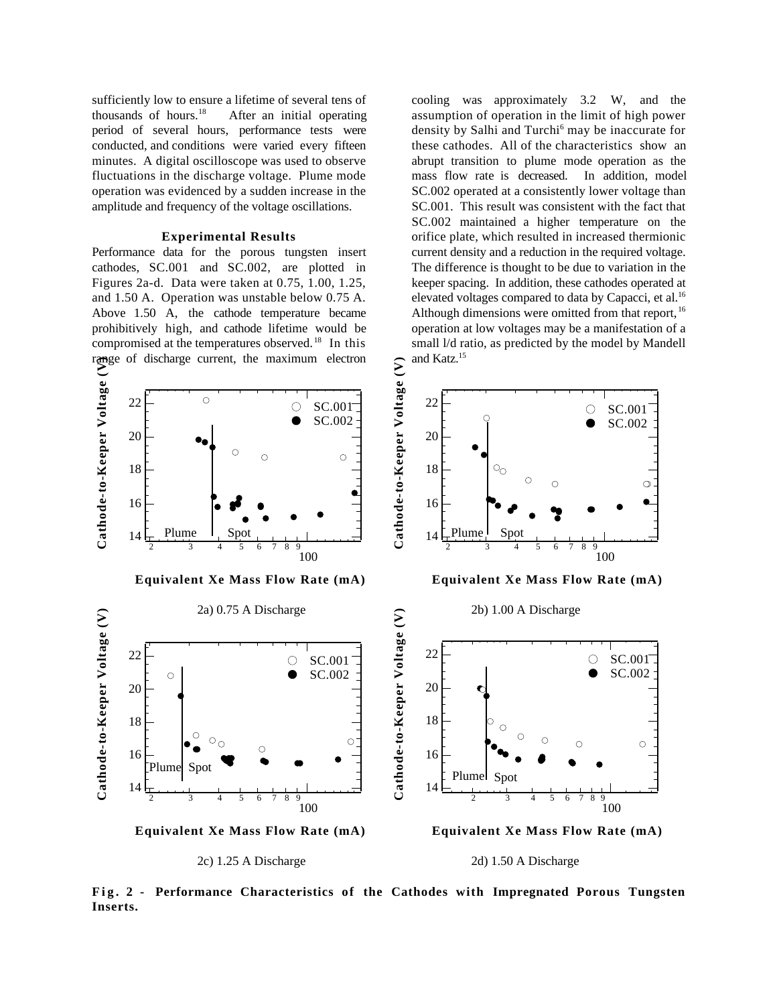sufficiently low to ensure a lifetime of several tens of thousands of hours.<sup>18</sup> After an initial operating period of several hours, performance tests were conducted, and conditions were varied every fifteen minutes. A digital oscilloscope was used to observe fluctuations in the discharge voltage. Plume mode operation was evidenced by a sudden increase in the amplitude and frequency of the voltage oscillations.

## **Experimental Results**

Performance data for the porous tungsten insert cathodes, SC.001 and SC.002, are plotted in Figures 2a-d. Data were taken at 0.75, 1.00, 1.25, and 1.50 A. Operation was unstable below 0.75 A. Above 1.50 A, the cathode temperature became prohibitively high, and cathode lifetime would be compromised at the temperatures observed. <sup>18</sup> In this

cooling was approximately 3.2 W, and the assumption of operation in the limit of high power density by Salhi and Turchi<sup>6</sup> may be inaccurate for these cathodes. All of the characteristics show an abrupt transition to plume mode operation as the mass flow rate is decreased. In addition, model SC.002 operated at a consistently lower voltage than SC.001. This result was consistent with the fact that SC.002 maintained a higher temperature on the orifice plate, which resulted in increased thermionic current density and a reduction in the required voltage. The difference is thought to be due to variation in the keeper spacing. In addition, these cathodes operated at elevated voltages compared to data by Capacci, et al.<sup>16</sup> Although dimensions were omitted from that report, <sup>16</sup> operation at low voltages may be a manifestation of a small l/d ratio, as predicted by the model by Mandell and Katz.<sup>15</sup>



**Equivalent Xe Mass Flow Rate (mA)**

**Equivalent Xe Mass Flow Rate (mA)**



**Fig. 2 - Performance Characteristics of the Cathodes with Impregnated Porous Tungsten Inserts.**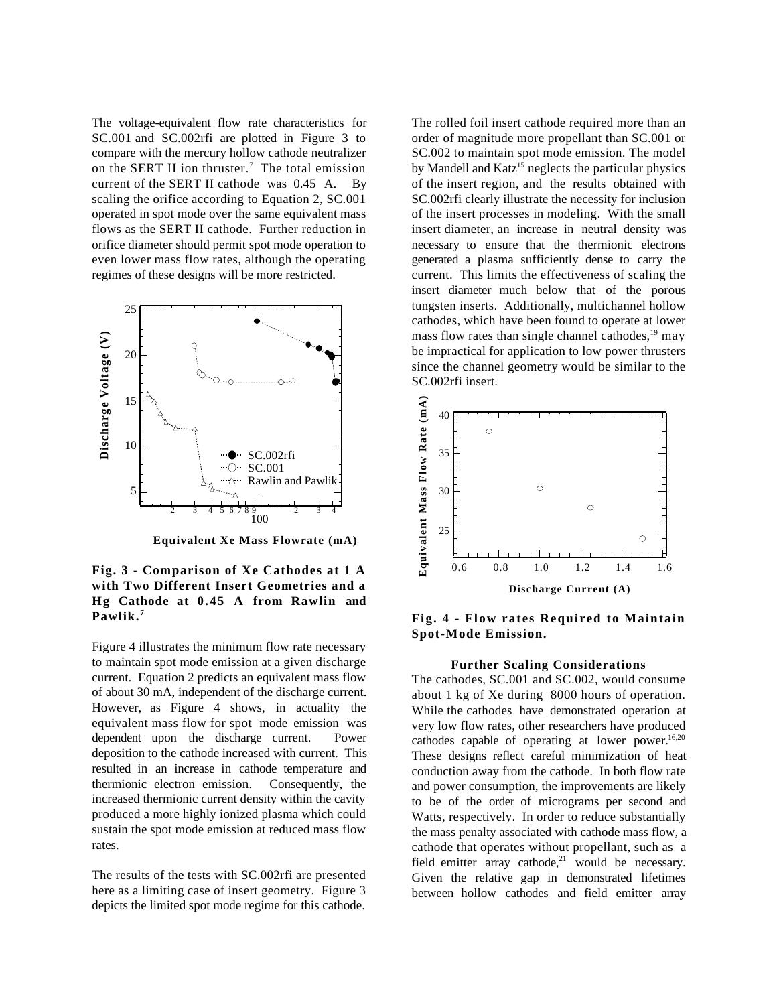The voltage-equivalent flow rate characteristics for SC.001 and SC.002rfi are plotted in Figure 3 to compare with the mercury hollow cathode neutralizer on the SERT II ion thruster.<sup>7</sup> The total emission current of the SERT II cathode was 0.45 A. By scaling the orifice according to Equation 2, SC.001 operated in spot mode over the same equivalent mass flows as the SERT II cathode. Further reduction in orifice diameter should permit spot mode operation to even lower mass flow rates, although the operating regimes of these designs will be more restricted.



**Equivalent Xe Mass Flowrate (mA)**

## **Fig. 3 - Comparison of Xe Cathodes at 1 A with Two Different Insert Geometries and a Hg Cathode at 0.45 A from Rawlin and Pawlik. <sup>7</sup>**

Figure 4 illustrates the minimum flow rate necessary to maintain spot mode emission at a given discharge current. Equation 2 predicts an equivalent mass flow of about 30 mA, independent of the discharge current. However, as Figure 4 shows, in actuality the equivalent mass flow for spot mode emission was dependent upon the discharge current. Power deposition to the cathode increased with current. This resulted in an increase in cathode temperature and thermionic electron emission. Consequently, the increased thermionic current density within the cavity produced a more highly ionized plasma which could sustain the spot mode emission at reduced mass flow rates.

The results of the tests with SC.002rfi are presented here as a limiting case of insert geometry. Figure 3 depicts the limited spot mode regime for this cathode. The rolled foil insert cathode required more than an order of magnitude more propellant than SC.001 or SC.002 to maintain spot mode emission. The model by Mandell and  $Katz^{15}$  neglects the particular physics of the insert region, and the results obtained with SC.002rfi clearly illustrate the necessity for inclusion of the insert processes in modeling. With the small insert diameter, an increase in neutral density was necessary to ensure that the thermionic electrons generated a plasma sufficiently dense to carry the current. This limits the effectiveness of scaling the insert diameter much below that of the porous tungsten inserts. Additionally, multichannel hollow cathodes, which have been found to operate at lower mass flow rates than single channel cathodes, $19$  may be impractical for application to low power thrusters since the channel geometry would be similar to the SC.002rfi insert.



**Fig. 4 - Flow rates Required to Maintain Spot-Mode Emission.**

### **Further Scaling Considerations**

The cathodes, SC.001 and SC.002, would consume about 1 kg of Xe during 8000 hours of operation. While the cathodes have demonstrated operation at very low flow rates, other researchers have produced cathodes capable of operating at lower power.<sup>16,20</sup> These designs reflect careful minimization of heat conduction away from the cathode. In both flow rate and power consumption, the improvements are likely to be of the order of micrograms per second and Watts, respectively. In order to reduce substantially the mass penalty associated with cathode mass flow, a cathode that operates without propellant, such as a field emitter array cathode, $21$  would be necessary. Given the relative gap in demonstrated lifetimes between hollow cathodes and field emitter array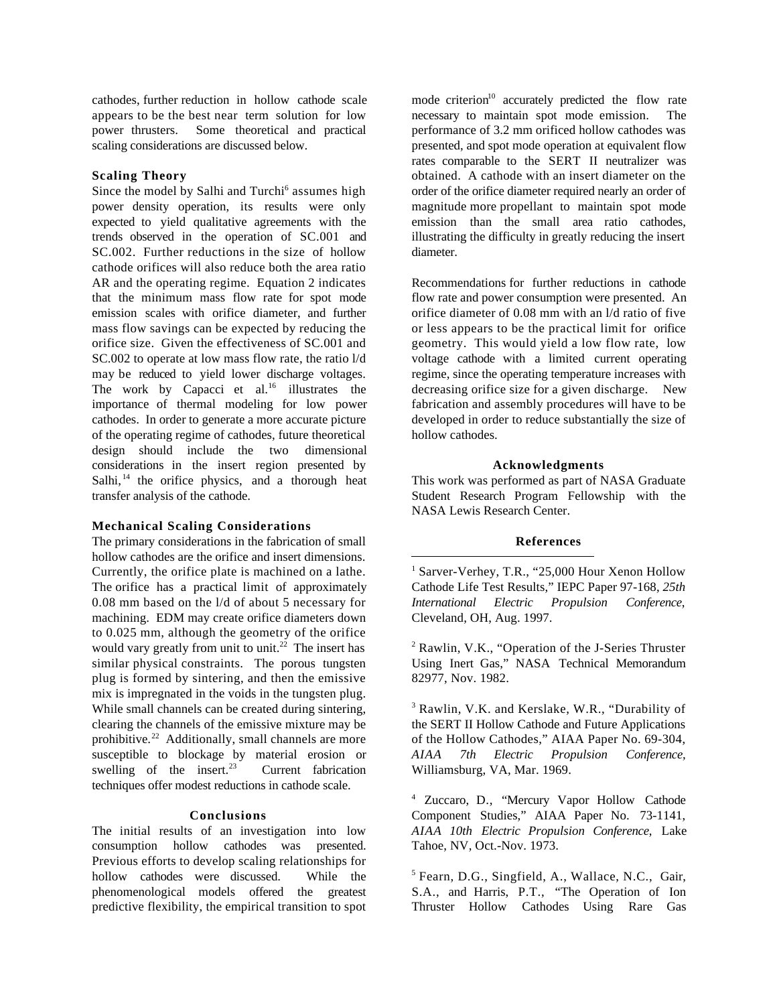cathodes, further reduction in hollow cathode scale appears to be the best near term solution for low power thrusters. Some theoretical and practical scaling considerations are discussed below.

## **Scaling Theory**

Since the model by Salhi and Turchi<sup>6</sup> assumes high power density operation, its results were only expected to yield qualitative agreements with the trends observed in the operation of SC.001 and SC.002. Further reductions in the size of hollow cathode orifices will also reduce both the area ratio AR and the operating regime. Equation 2 indicates that the minimum mass flow rate for spot mode emission scales with orifice diameter, and further mass flow savings can be expected by reducing the orifice size. Given the effectiveness of SC.001 and SC.002 to operate at low mass flow rate, the ratio l/d may be reduced to yield lower discharge voltages. The work by Capacci et al.<sup>16</sup> illustrates the importance of thermal modeling for low power cathodes. In order to generate a more accurate picture of the operating regime of cathodes, future theoretical design should include the two dimensional considerations in the insert region presented by Salhi, $^{14}$  the orifice physics, and a thorough heat transfer analysis of the cathode.

## **Mechanical Scaling Considerations**

The primary considerations in the fabrication of small hollow cathodes are the orifice and insert dimensions. Currently, the orifice plate is machined on a lathe. The orifice has a practical limit of approximately 0.08 mm based on the l/d of about 5 necessary for machining. EDM may create orifice diameters down to 0.025 mm, although the geometry of the orifice would vary greatly from unit to unit.<sup>22</sup> The insert has similar physical constraints. The porous tungsten plug is formed by sintering, and then the emissive mix is impregnated in the voids in the tungsten plug. While small channels can be created during sintering, clearing the channels of the emissive mixture may be prohibitive.<sup>22</sup> Additionally, small channels are more susceptible to blockage by material erosion or swelling of the insert. $23$  Current fabrication techniques offer modest reductions in cathode scale.

## **Conclusions**

The initial results of an investigation into low consumption hollow cathodes was presented. Previous efforts to develop scaling relationships for hollow cathodes were discussed. While the phenomenological models offered the greatest predictive flexibility, the empirical transition to spot

mode criterion<sup>10</sup> accurately predicted the flow rate necessary to maintain spot mode emission. The performance of 3.2 mm orificed hollow cathodes was presented, and spot mode operation at equivalent flow rates comparable to the SERT II neutralizer was obtained. A cathode with an insert diameter on the order of the orifice diameter required nearly an order of magnitude more propellant to maintain spot mode emission than the small area ratio cathodes, illustrating the difficulty in greatly reducing the insert diameter.

Recommendations for further reductions in cathode flow rate and power consumption were presented. An orifice diameter of 0.08 mm with an l/d ratio of five or less appears to be the practical limit for orifice geometry. This would yield a low flow rate, low voltage cathode with a limited current operating regime, since the operating temperature increases with decreasing orifice size for a given discharge. New fabrication and assembly procedures will have to be developed in order to reduce substantially the size of hollow cathodes.

### **Acknowledgments**

This work was performed as part of NASA Graduate Student Research Program Fellowship with the NASA Lewis Research Center.

## **References**

 $\overline{a}$ 

<sup>1</sup> Sarver-Verhey, T.R., "25,000 Hour Xenon Hollow Cathode Life Test Results," IEPC Paper 97-168, *25th International Electric Propulsion Conference*, Cleveland, OH, Aug. 1997.

<sup>2</sup> Rawlin, V.K., "Operation of the J-Series Thruster Using Inert Gas," NASA Technical Memorandum 82977, Nov. 1982.

<sup>3</sup> Rawlin, V.K. and Kerslake, W.R., "Durability of the SERT II Hollow Cathode and Future Applications of the Hollow Cathodes," AIAA Paper No. 69-304, *AIAA 7th Electric Propulsion Conference,* Williamsburg, VA, Mar. 1969.

<sup>4</sup> Zuccaro, D., "Mercury Vapor Hollow Cathode Component Studies," AIAA Paper No. 73-1141, *AIAA 10th Electric Propulsion Conference*, Lake Tahoe, NV, Oct.-Nov. 1973.

<sup>5</sup> Fearn, D.G., Singfield, A., Wallace, N.C., Gair, S.A., and Harris, P.T., "The Operation of Ion Thruster Hollow Cathodes Using Rare Gas